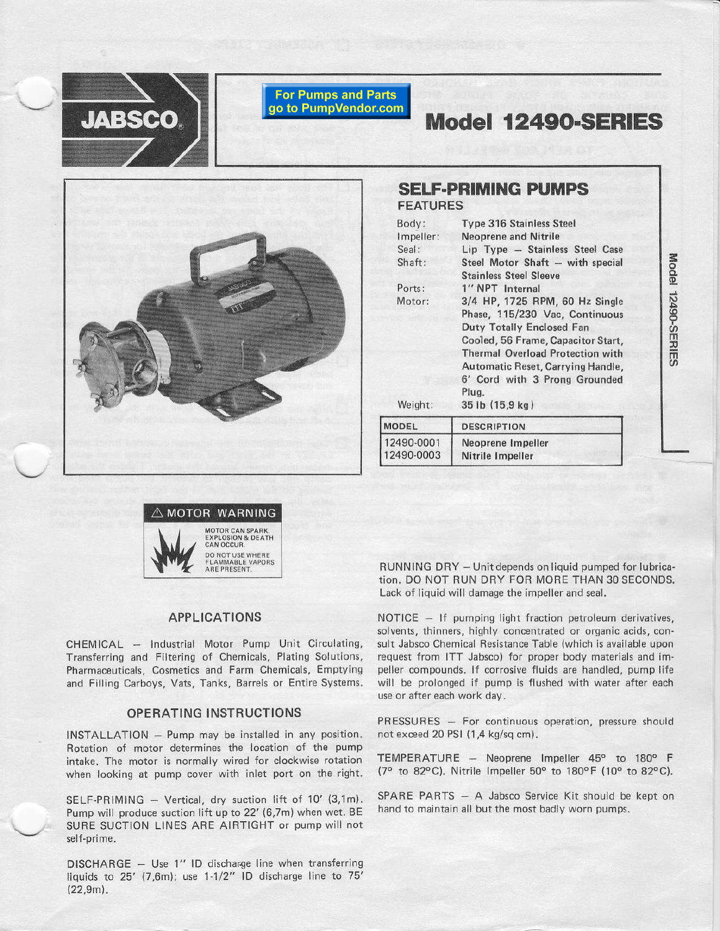

#### **For Pumps and Parts** go to PumpVendor.com

# Model 12490-SERIES



# **SELF-PRIMING PUMPS FEATURES**

| Body:<br>Impeller:<br>Seal:<br>Shaft: | <b>Type 316 Stainless Steel</b><br><b>Neoprene and Nitrile</b><br>Lip Type - Stainless Steel Case<br>Steel Motor Shaft - with special<br><b>Stainless Steel Sleeve</b><br>1" NPT Internal                                                                                               |  |  |  |
|---------------------------------------|-----------------------------------------------------------------------------------------------------------------------------------------------------------------------------------------------------------------------------------------------------------------------------------------|--|--|--|
| Ports:                                |                                                                                                                                                                                                                                                                                         |  |  |  |
| Motor:<br>Weight:                     | 3/4 HP, 1725 RPM, 60 Hz Single<br>Phase, 115/230 Vac, Continuous<br><b>Duty Totally Enclosed Fan</b><br>Cooled, 56 Frame, Capacitor Start,<br><b>Thermal Overload Protection with</b><br>Automatic Reset, Carrying Handle,<br>6' Cord with 3 Prong Grounded<br>Plua.<br>35 lb (15,9 kg) |  |  |  |
| <b>MODEL</b>                          | <b>DESCRIPTION</b>                                                                                                                                                                                                                                                                      |  |  |  |
| 12490-0001<br>12490-0003              | Neoprene Impeller<br>Nitrile Impeller                                                                                                                                                                                                                                                   |  |  |  |



### **APPLICATIONS**

CHEMICAL - Industrial Motor Pump Unit Circulating, Transferring and Filtering of Chemicals, Plating Solutions, Pharmaceuticals, Cosmetics and Farm Chemicals, Emptying and Filling Carboys, Vats, Tanks, Barrels or Entire Systems.

#### **OPERATING INSTRUCTIONS**

INSTALLATION - Pump may be installed in any position. Rotation of motor determines the location of the pump intake. The motor is normally wired for clockwise rotation when looking at pump cover with inlet port on the right.

SELF-PRIMING - Vertical, dry suction lift of 10' (3,1m). Pump will produce suction lift up to 22' (6,7m) when wet. BE SURE SUCTION LINES ARE AIRTIGHT or pump will not self-prime.

DISCHARGE - Use 1" ID discharge line when transferring liquids to 25' (7,6m); use 1-1/2" ID discharge line to 75'  $(22,9m)$ .

RUNNING DRY - Unit depends on liquid pumped for lubrication. DO NOT RUN DRY FOR MORE THAN 30 SECONDS. Lack of liquid will damage the impeller and seal.

NOTICE - If pumping light fraction petroleum derivatives, solvents, thinners, highly concentrated or organic acids, consult Jabsco Chemical Resistance Table (which is available upon request from ITT Jabsco) for proper body materials and impeller compounds. If corrosive fluids are handled, pump life will be prolonged if pump is flushed with water after each use or after each work day.

PRESSURES - For continuous operation, pressure should not exceed 20 PSI (1,4 kg/sq cm).

TEMPERATURE - Neoprene Impeller 45° to 180° F (7° to 82°C). Nitrile Impeller 50° to 180°F (10° to 82°C).

SPARE PARTS - A Jabsco Service Kit should be kept on hand to maintain all but the most badly worn pumps.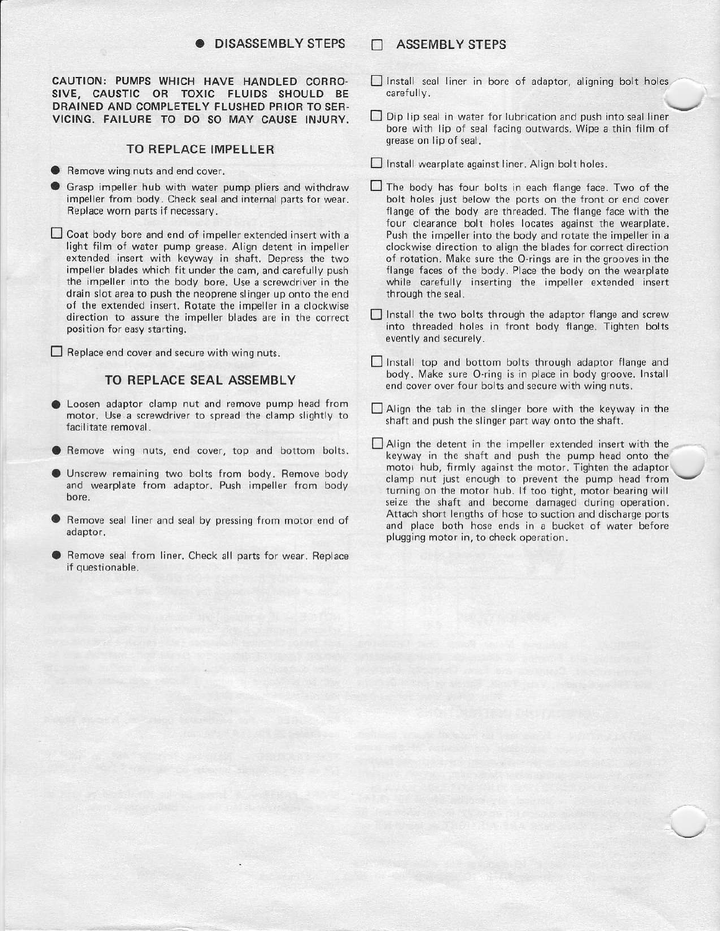#### . DISASSEMBLY STEPS

CAUTION: PUMPS WHICH HAVE HANDLED CORRO-SIVE, CAUSTIC OR TOXIC FLUIOS SHOULD BE DRAINED AND COMPLETELY FLUSHED PRIOR TO SER-VICING, FAILURE TO DO SO MAY CAUSE INJURY.

#### TO REPLACE IMPELLER

- **Remove wing nuts and end cover.**
- Grasp impeller hub with water pump pliers and withdraw impeller from body. Check seal and internal parts for wear. Feplace worn parts if necessary.
- $\square$  Coat body bore and end of impeller extended insert with a light film of water pump grease. Align detent in impeller extended insert with keyway in shaft. Depress the two impeller blades which fit under the cam, and carefully push the impeller into the body bore. Use a screwdriver in the drain slot area to push the neoprene slinger up onto the end of the extended insert. Rotate the impeller in a clockwise direction to assure the impeller blades are in the correct position for easy starting.

 $\Box$  Replace end cover and secure with wing nuts.

#### TO REPLACE SEAL ASSEMBLY

- Loosen adaptor clamp nut and remove pump head from motor. Use a screwdriver to spread the clamp slightly to facilitate removal,
- **Remove wing nuts, end cover, top and bottom bolts.**
- Unscrew remaining two bolts from body. Remove body and wearplate from adaptor. Push impeller from body<br>bore.
- Remove seal liner and seal by pressing from motor end of adaptor.
- Remove seal from liner. Check all parts for wear. Replace if questionable.

#### **IN ASSEMBLY STEPS**

- $\Box$  Install seal liner in bore of adaptor, aligning bolt holes carefully.
- $\Box$  Dip lip seal in water for lubrication and push into seal liner bore with lip of seal facing outwards. Wipe a thin film of qrease on lip of seal.
- $\Box$  Install wearplate against liner. Align bolt holes.
- $\Box$  The body has four bolts in each flange face. Two of the bolt holes just below the ports on the front or end cover flange of the body are threaded. The flange face with the four clearance bolt holes locates against the wearplate. Push the impeller into the body and rotate the impeller in a clockwise direction to align the blades for correct direction of rotation. Make sure the O-rings are in the grooves in the flange faces of the body. Place the body on the wearplate while carefully inserting the impeller extended insert through the seal.
- $\Box$  Install the two bolts through the adaptor flange and screw into threaded holes in front body flange. Tighten bolts evently and securely,
- $\Box$  Install top and bottom bolts through adaptor flange and body. Make sure O-ring is in place in body groove. Install end cover over four bolts and secure with wing nuts.
- $\Box$  Align the tab in the slinger bore with the keyway in the shaft and push the slinger part way onto the shaft.
- EAlign the detent in the impeller extended insert with the keyway in the shaft and push the pump head onto the motoi hub, firmly against the motor. Tighten the adaptor clamp nut just enough to prevent the pump head from turning on the motor hub. lf too tight, motor besring will seize the shaft and become damaged during operation. Attach short lengths of hose to suction and discharge ports and place both hose ends in a bucket of water before plugging motor in, to check operation.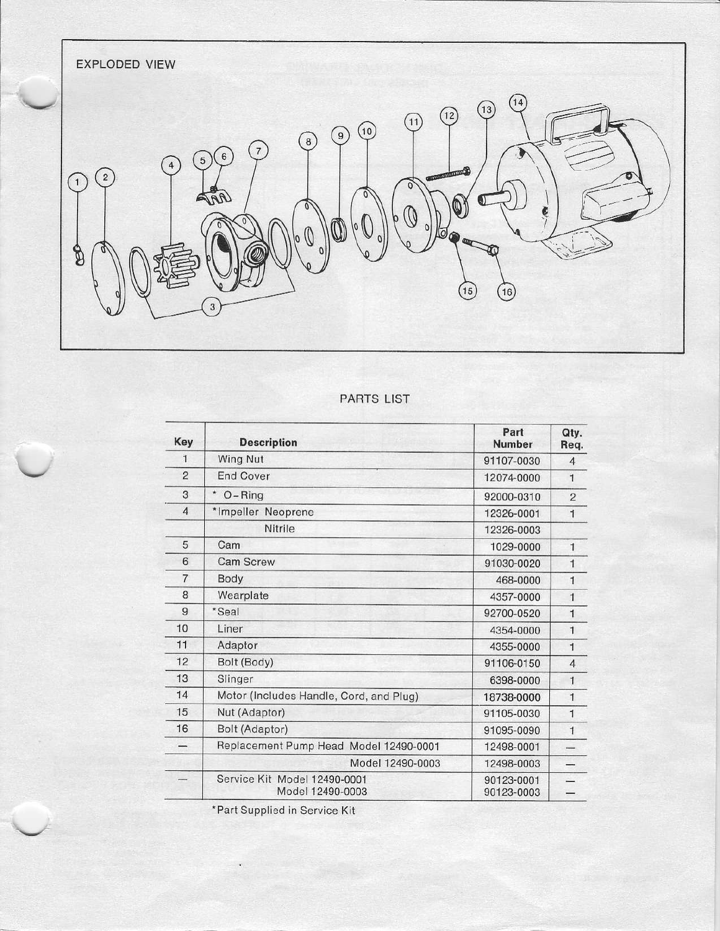

# PARTS LIST

| Key            | <b>Description</b>                                    | Part<br><b>Number</b>    | Qty.<br>Req.   |
|----------------|-------------------------------------------------------|--------------------------|----------------|
| 1              | Wing Nut                                              | 91107-0030               | $\overline{4}$ |
| $\overline{c}$ | <b>End Cover</b>                                      | 12074-0000               | $\mathbf{1}$   |
| 3              | $O - Ring$                                            | 92000-0310               | $\overline{c}$ |
| $\overline{4}$ | *Impeller Neoprene                                    | 12326-0001               | $\mathbf{1}$   |
|                | Nitrile                                               | 12326-0003               |                |
| 5              | Cam                                                   | 1029-0000                | $\mathbf{1}$   |
| 6              | <b>Cam Screw</b>                                      | 91030-0020               | $\mathbf{1}$   |
| $\overline{7}$ | Body<br>468-0000                                      |                          | $\mathbf{1}$   |
| 8              | Wearplate                                             | 4357-0000                | $\mathbf{1}$   |
| 9              | *Seal                                                 | 92700-0520               | $\mathbf{1}$   |
| 10             | Liner                                                 | 4354-0000                | $\mathbf{1}$   |
| 11             | Adaptor<br>4355-0000                                  |                          | $\mathbf{1}$   |
| 12             | Bolt (Body)<br>91106-0150                             |                          | $\overline{4}$ |
| 13             | Slinger<br>6398-0000                                  |                          | $\mathbf{1}$   |
| 14             | Motor (Includes Handle, Cord, and Plug)<br>18738-0000 |                          | $\mathbf{1}$   |
| 15             | Nut (Adaptor)                                         | 91105-0030               | $\mathbf{1}$   |
| 16             | Bolt (Adaptor)                                        | 91095-0090               | $\mathbf{1}$   |
|                | Replacement Pump Head Model 12490-0001                | 12498-0001               |                |
|                | Model 12490-0003                                      | 12498-0003               |                |
|                | Service Kit Model 12490-0001<br>Model 12490-0003      | 90123-0001<br>90123-0003 |                |

\*Part Supplied in Service Kit